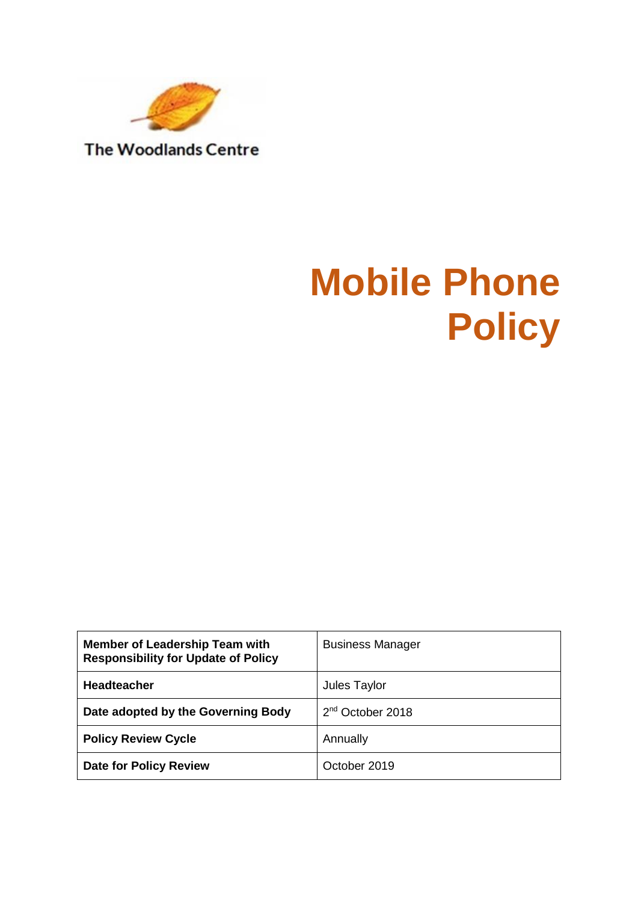

**Mobile Phone Policy**

| <b>Member of Leadership Team with</b><br><b>Responsibility for Update of Policy</b> | <b>Business Manager</b>      |
|-------------------------------------------------------------------------------------|------------------------------|
| <b>Headteacher</b>                                                                  | Jules Taylor                 |
| Date adopted by the Governing Body                                                  | 2 <sup>nd</sup> October 2018 |
| <b>Policy Review Cycle</b>                                                          | Annually                     |
| <b>Date for Policy Review</b>                                                       | October 2019                 |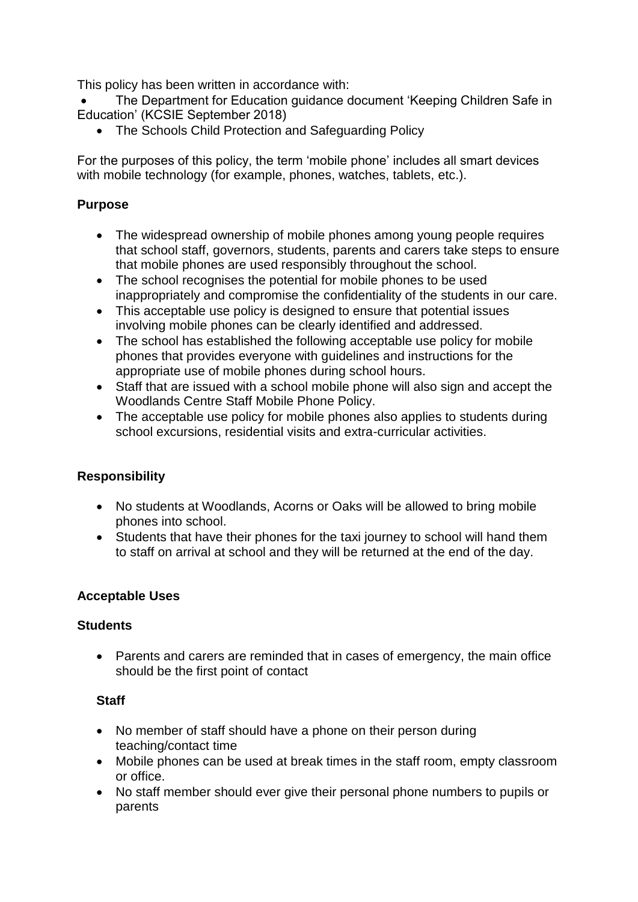This policy has been written in accordance with:

- The Department for Education guidance document 'Keeping Children Safe in Education' (KCSIE September 2018)
	- The Schools Child Protection and Safeguarding Policy

For the purposes of this policy, the term 'mobile phone' includes all smart devices with mobile technology (for example, phones, watches, tablets, etc.).

# **Purpose**

- The widespread ownership of mobile phones among young people requires that school staff, governors, students, parents and carers take steps to ensure that mobile phones are used responsibly throughout the school.
- The school recognises the potential for mobile phones to be used inappropriately and compromise the confidentiality of the students in our care.
- This acceptable use policy is designed to ensure that potential issues involving mobile phones can be clearly identified and addressed.
- The school has established the following acceptable use policy for mobile phones that provides everyone with guidelines and instructions for the appropriate use of mobile phones during school hours.
- Staff that are issued with a school mobile phone will also sign and accept the Woodlands Centre Staff Mobile Phone Policy.
- The acceptable use policy for mobile phones also applies to students during school excursions, residential visits and extra-curricular activities.

# **Responsibility**

- No students at Woodlands, Acorns or Oaks will be allowed to bring mobile phones into school.
- Students that have their phones for the taxi journey to school will hand them to staff on arrival at school and they will be returned at the end of the day.

### **Acceptable Uses**

### **Students**

• Parents and carers are reminded that in cases of emergency, the main office should be the first point of contact

# **Staff**

- No member of staff should have a phone on their person during teaching/contact time
- Mobile phones can be used at break times in the staff room, empty classroom or office.
- No staff member should ever give their personal phone numbers to pupils or parents